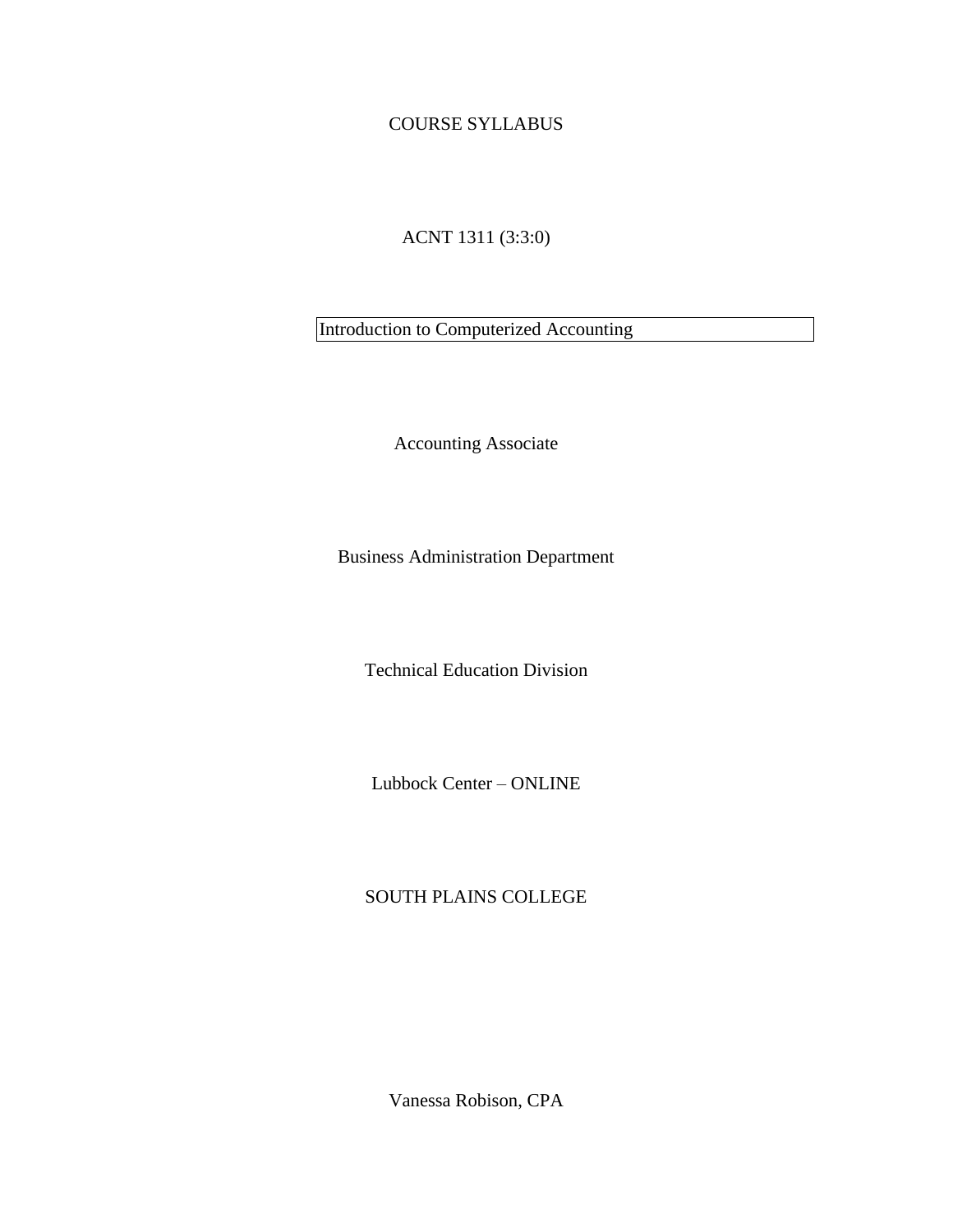## COURSE SYLLABUS

## ACNT 1311 (3:3:0)

Introduction to Computerized Accounting

Accounting Associate

Business Administration Department

Technical Education Division

Lubbock Center – ONLINE

## SOUTH PLAINS COLLEGE

Vanessa Robison, CPA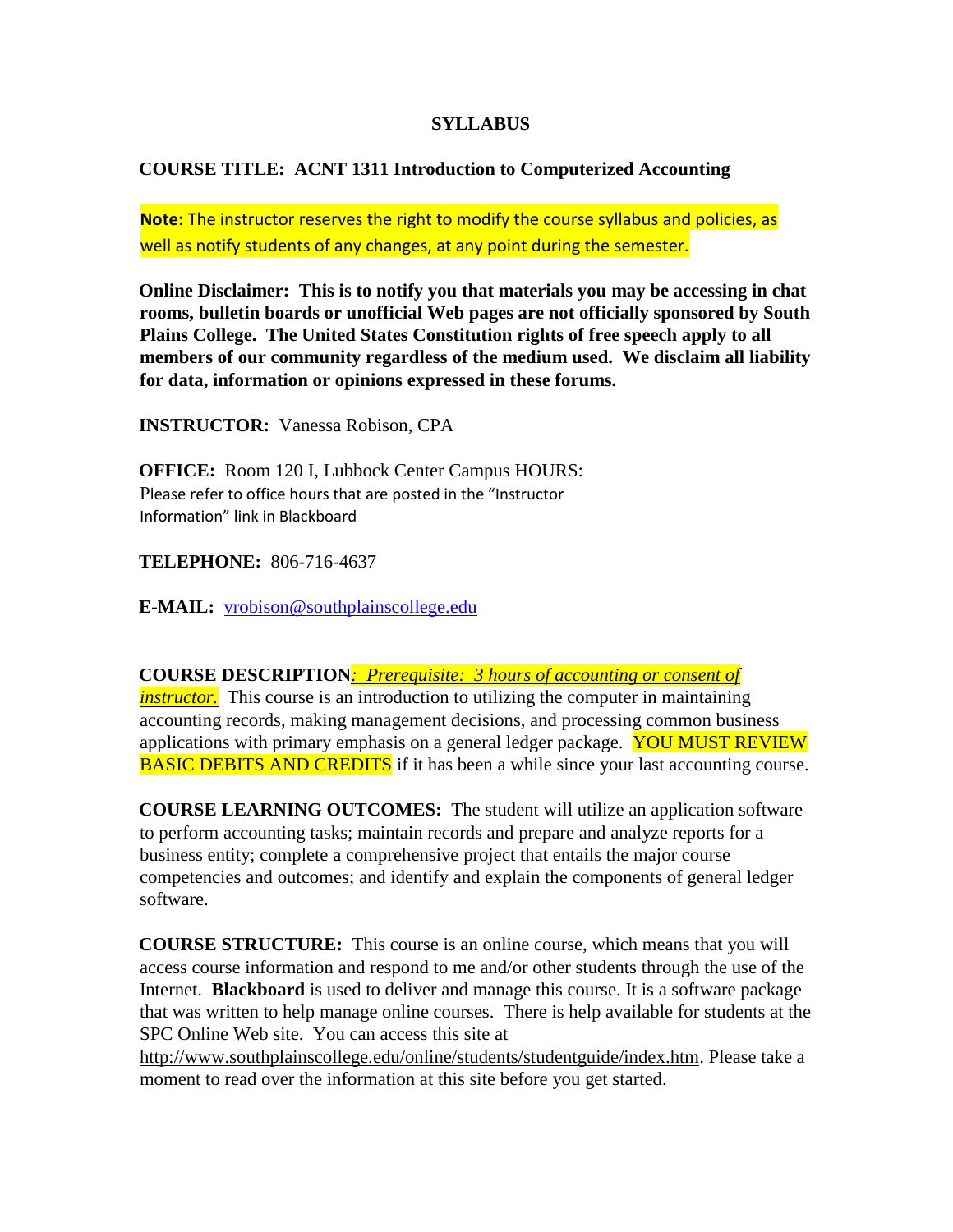#### **SYLLABUS**

## **COURSE TITLE: ACNT 1311 Introduction to Computerized Accounting**

**Note:** The instructor reserves the right to modify the course syllabus and policies, as well as notify students of any changes, at any point during the semester.

**Online Disclaimer: This is to notify you that materials you may be accessing in chat rooms, bulletin boards or unofficial Web pages are not officially sponsored by South Plains College. The United States Constitution rights of free speech apply to all members of our community regardless of the medium used. We disclaim all liability for data, information or opinions expressed in these forums.** 

**INSTRUCTOR:** Vanessa Robison, CPA

**OFFICE:** Room 120 I, Lubbock Center Campus HOURS: Please refer to office hours that are posted in the "Instructor Information" link in Blackboard

**TELEPHONE:** 806-716-4637

**E-MAIL:** vrobison@southplainscollege.edu

**COURSE DESCRIPTION***: Prerequisite: 3 hours of accounting or consent of instructor.* This course is an introduction to utilizing the computer in maintaining accounting records, making management decisions, and processing common business applications with primary emphasis on a general ledger package. YOU MUST REVIEW **BASIC DEBITS AND CREDITS** if it has been a while since your last accounting course.

**COURSE LEARNING OUTCOMES:** The student will utilize an application software to perform accounting tasks; maintain records and prepare and analyze reports for a business entity; complete a comprehensive project that entails the major course competencies and outcomes; and identify and explain the components of general ledger software.

**COURSE STRUCTURE:** This course is an online course, which means that you will access course information and respond to me and/or other students through the use of the Internet. **Blackboard** is used to deliver and manage this course. It is a software package that was written to help manage online courses. There is help available for students at the SPC Online Web site. You can access this site at

[http://www.southplainscollege.edu/online/students/studentguide/index.htm.](http://www.southplainscollege.edu/online/students/studentguide/index.htm) Please take a moment to read over the information at this site before you get started.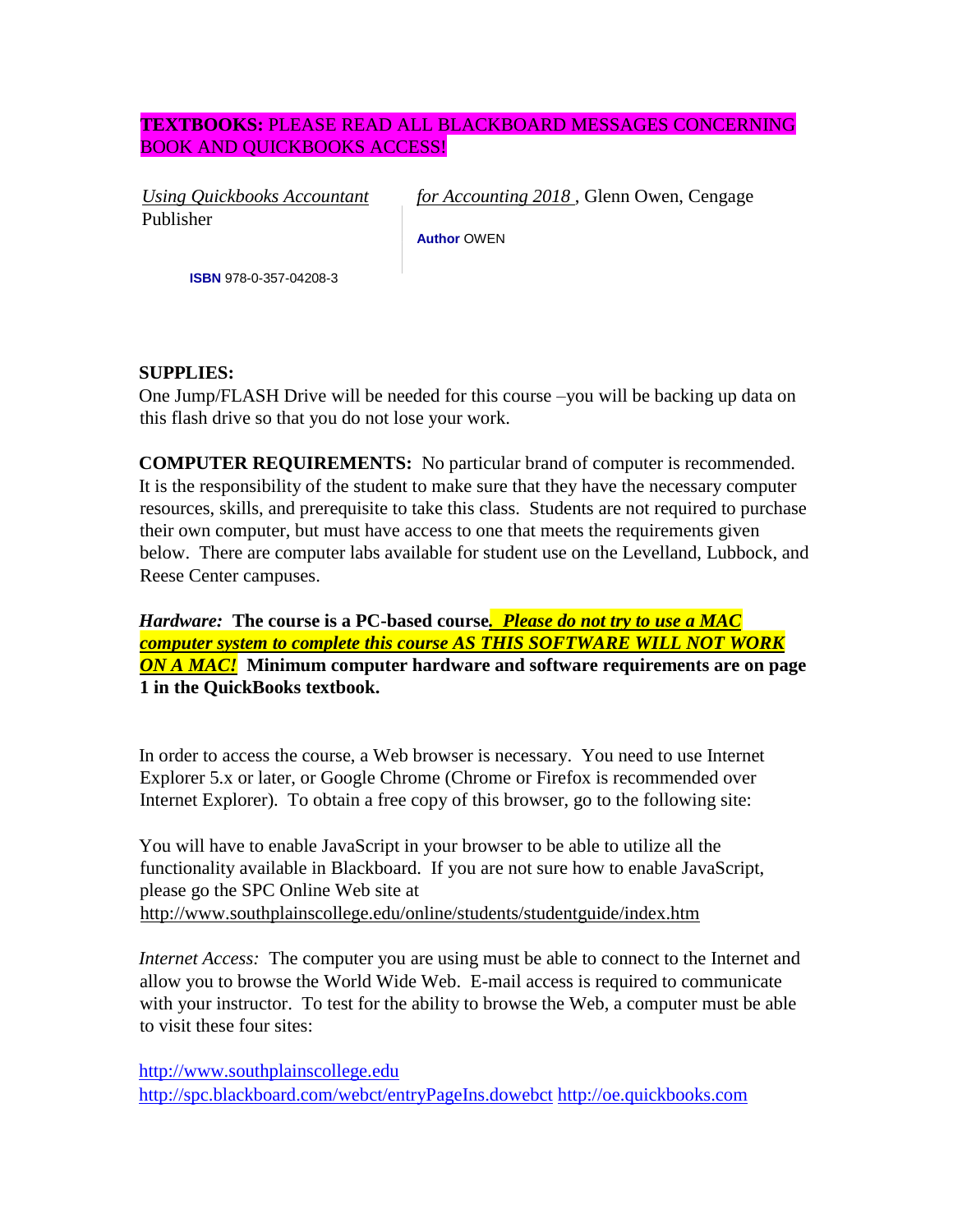## **TEXTBOOKS:** PLEASE READ ALL BLACKBOARD MESSAGES CONCERNING BOOK AND QUICKBOOKS ACCESS!

Publisher

*Using Quickbooks Accountant for Accounting 2018* , Glenn Owen, Cengage

**Author** OWEN

**ISBN** 978-0-357-04208-3

#### **SUPPLIES:**

One Jump/FLASH Drive will be needed for this course –you will be backing up data on this flash drive so that you do not lose your work.

**COMPUTER REQUIREMENTS:** No particular brand of computer is recommended. It is the responsibility of the student to make sure that they have the necessary computer resources, skills, and prerequisite to take this class. Students are not required to purchase their own computer, but must have access to one that meets the requirements given below. There are computer labs available for student use on the Levelland, Lubbock, and Reese Center campuses.

*Hardware:* **The course is a PC-based course***. Please do not try to use a MAC computer system to complete this course AS THIS SOFTWARE WILL NOT WORK ON A MAC!* **Minimum computer hardware and software requirements are on page 1 in the QuickBooks textbook.**

In order to access the course, a Web browser is necessary. You need to use Internet Explorer 5.x or later, or Google Chrome (Chrome or Firefox is recommended over Internet Explorer). To obtain a free copy of this browser, go to the following site:

You will have to enable JavaScript in your browser to be able to utilize all the functionality available in Blackboard. If you are not sure how to enable JavaScript, please go the SPC Online Web site at <http://www.southplainscollege.edu/online/students/studentguide/index.htm>

*Internet Access:* The computer you are using must be able to connect to the Internet and allow you to browse the World Wide Web. E-mail access is required to communicate with your instructor. To test for the ability to browse the Web, a computer must be able to visit these four sites:

[http://www.southplainscollege.edu](http://www.southplainscollege.edu/) <http://spc.blackboard.com/webct/entryPageIns.dowebct> [http://oe.quickbooks.com](http://oe.quickbooks.com/)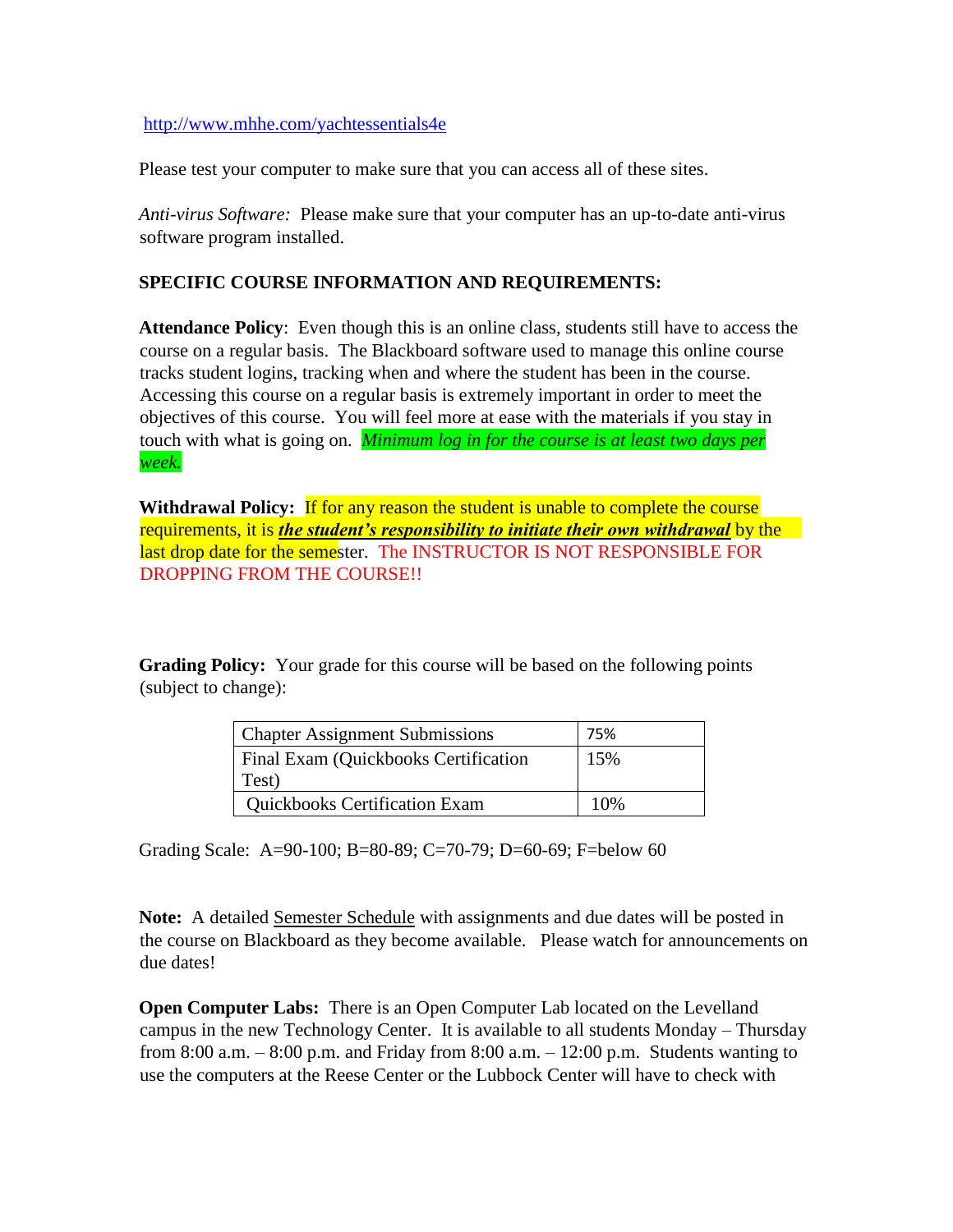<http://www.mhhe.com/yachtessentials4e>

Please test your computer to make sure that you can access all of these sites.

*Anti-virus Software:* Please make sure that your computer has an up-to-date anti-virus software program installed.

#### **SPECIFIC COURSE INFORMATION AND REQUIREMENTS:**

**Attendance Policy**: Even though this is an online class, students still have to access the course on a regular basis. The Blackboard software used to manage this online course tracks student logins, tracking when and where the student has been in the course. Accessing this course on a regular basis is extremely important in order to meet the objectives of this course. You will feel more at ease with the materials if you stay in touch with what is going on. *Minimum log in for the course is at least two days per week.*

**Withdrawal Policy:** If for any reason the student is unable to complete the course requirements, it is *the student's responsibility to initiate their own withdrawal* by the last drop date for the semester. The INSTRUCTOR IS NOT RESPONSIBLE FOR DROPPING FROM THE COURSE!!

**Grading Policy:** Your grade for this course will be based on the following points (subject to change):

| <b>Chapter Assignment Submissions</b>       | 75% |
|---------------------------------------------|-----|
| <b>Final Exam (Quickbooks Certification</b> | 15% |
| Test)                                       |     |
| <b>Quickbooks Certification Exam</b>        | 10% |

Grading Scale: A=90-100; B=80-89; C=70-79; D=60-69; F=below 60

**Note:** A detailed Semester Schedule with assignments and due dates will be posted in the course on Blackboard as they become available. Please watch for announcements on due dates!

**Open Computer Labs:** There is an Open Computer Lab located on the Levelland campus in the new Technology Center. It is available to all students Monday – Thursday from 8:00 a.m.  $-8:00$  p.m. and Friday from 8:00 a.m.  $-12:00$  p.m. Students wanting to use the computers at the Reese Center or the Lubbock Center will have to check with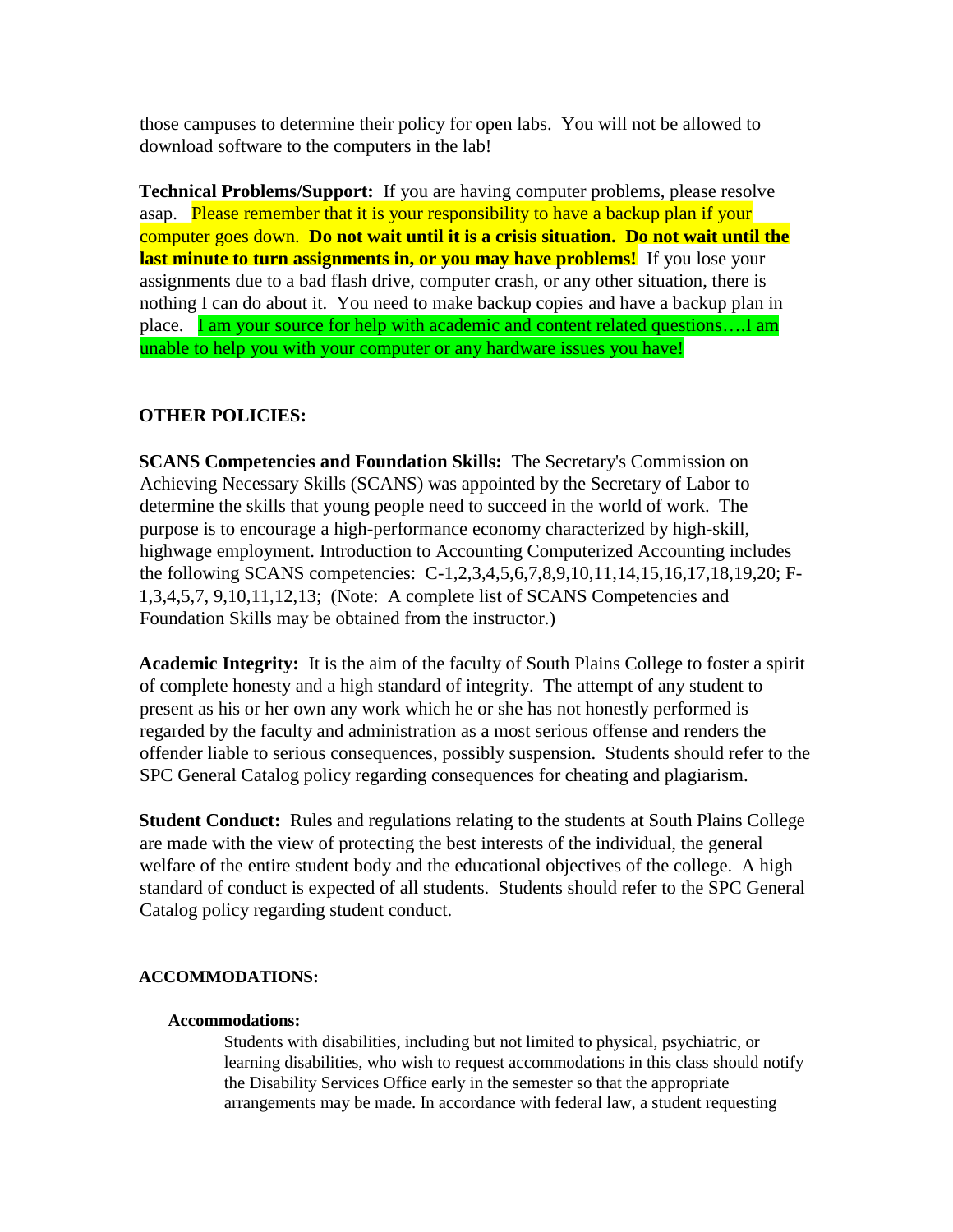those campuses to determine their policy for open labs. You will not be allowed to download software to the computers in the lab!

**Technical Problems/Support:** If you are having computer problems, please resolve asap. Please remember that it is your responsibility to have a backup plan if your computer goes down. **Do not wait until it is a crisis situation. Do not wait until the last minute to turn assignments in, or you may have problems!** If you lose your assignments due to a bad flash drive, computer crash, or any other situation, there is nothing I can do about it. You need to make backup copies and have a backup plan in place. I am your source for help with academic and content related questions....I am unable to help you with your computer or any hardware issues you have!

## **OTHER POLICIES:**

**SCANS Competencies and Foundation Skills:** The Secretary's Commission on Achieving Necessary Skills (SCANS) was appointed by the Secretary of Labor to determine the skills that young people need to succeed in the world of work. The purpose is to encourage a high-performance economy characterized by high-skill, highwage employment. Introduction to Accounting Computerized Accounting includes the following SCANS competencies: C-1,2,3,4,5,6,7,8,9,10,11,14,15,16,17,18,19,20; F-1,3,4,5,7, 9,10,11,12,13; (Note: A complete list of SCANS Competencies and Foundation Skills may be obtained from the instructor.)

**Academic Integrity:** It is the aim of the faculty of South Plains College to foster a spirit of complete honesty and a high standard of integrity. The attempt of any student to present as his or her own any work which he or she has not honestly performed is regarded by the faculty and administration as a most serious offense and renders the offender liable to serious consequences, possibly suspension. Students should refer to the SPC General Catalog policy regarding consequences for cheating and plagiarism.

**Student Conduct:** Rules and regulations relating to the students at South Plains College are made with the view of protecting the best interests of the individual, the general welfare of the entire student body and the educational objectives of the college. A high standard of conduct is expected of all students. Students should refer to the SPC General Catalog policy regarding student conduct.

#### **ACCOMMODATIONS:**

#### **Accommodations:**

Students with disabilities, including but not limited to physical, psychiatric, or learning disabilities, who wish to request accommodations in this class should notify the Disability Services Office early in the semester so that the appropriate arrangements may be made. In accordance with federal law, a student requesting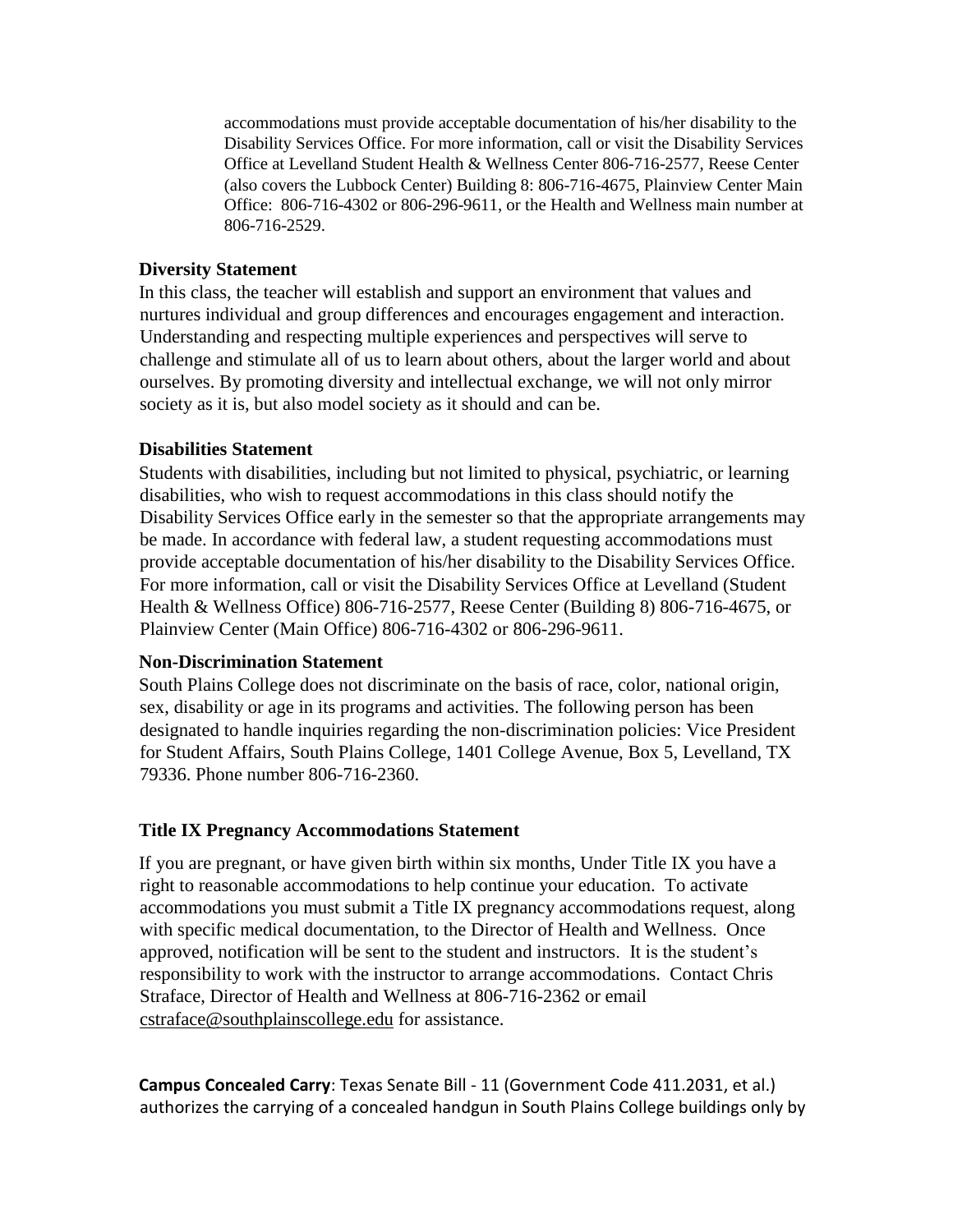accommodations must provide acceptable documentation of his/her disability to the Disability Services Office. For more information, call or visit the Disability Services Office at Levelland Student Health & Wellness Center 806-716-2577, Reese Center (also covers the Lubbock Center) Building 8: 806-716-4675, Plainview Center Main Office: 806-716-4302 or 806-296-9611, or the Health and Wellness main number at 806-716-2529.

#### **Diversity Statement**

In this class, the teacher will establish and support an environment that values and nurtures individual and group differences and encourages engagement and interaction. Understanding and respecting multiple experiences and perspectives will serve to challenge and stimulate all of us to learn about others, about the larger world and about ourselves. By promoting diversity and intellectual exchange, we will not only mirror society as it is, but also model society as it should and can be.

#### **Disabilities Statement**

Students with disabilities, including but not limited to physical, psychiatric, or learning disabilities, who wish to request accommodations in this class should notify the Disability Services Office early in the semester so that the appropriate arrangements may be made. In accordance with federal law, a student requesting accommodations must provide acceptable documentation of his/her disability to the Disability Services Office. For more information, call or visit the Disability Services Office at Levelland (Student Health & Wellness Office) 806-716-2577, Reese Center (Building 8) 806-716-4675, or Plainview Center (Main Office) 806-716-4302 or 806-296-9611.

#### **Non-Discrimination Statement**

South Plains College does not discriminate on the basis of race, color, national origin, sex, disability or age in its programs and activities. The following person has been designated to handle inquiries regarding the non-discrimination policies: Vice President for Student Affairs, South Plains College, 1401 College Avenue, Box 5, Levelland, TX 79336. Phone number 806-716-2360.

## **Title IX Pregnancy Accommodations Statement**

If you are pregnant, or have given birth within six months, Under Title IX you have a right to reasonable accommodations to help continue your education. To activate accommodations you must submit a Title IX pregnancy accommodations request, along with specific medical documentation, to the Director of Health and Wellness. Once approved, notification will be sent to the student and instructors. It is the student's responsibility to work with the instructor to arrange accommodations. Contact Chris Straface, Director of Health and Wellness at 806-716-2362 or email cstraface@southplainscollege.edu for assistance.

**Campus Concealed Carry**: Texas Senate Bill - 11 (Government Code 411.2031, et al.) authorizes the carrying of a concealed handgun in South Plains College buildings only by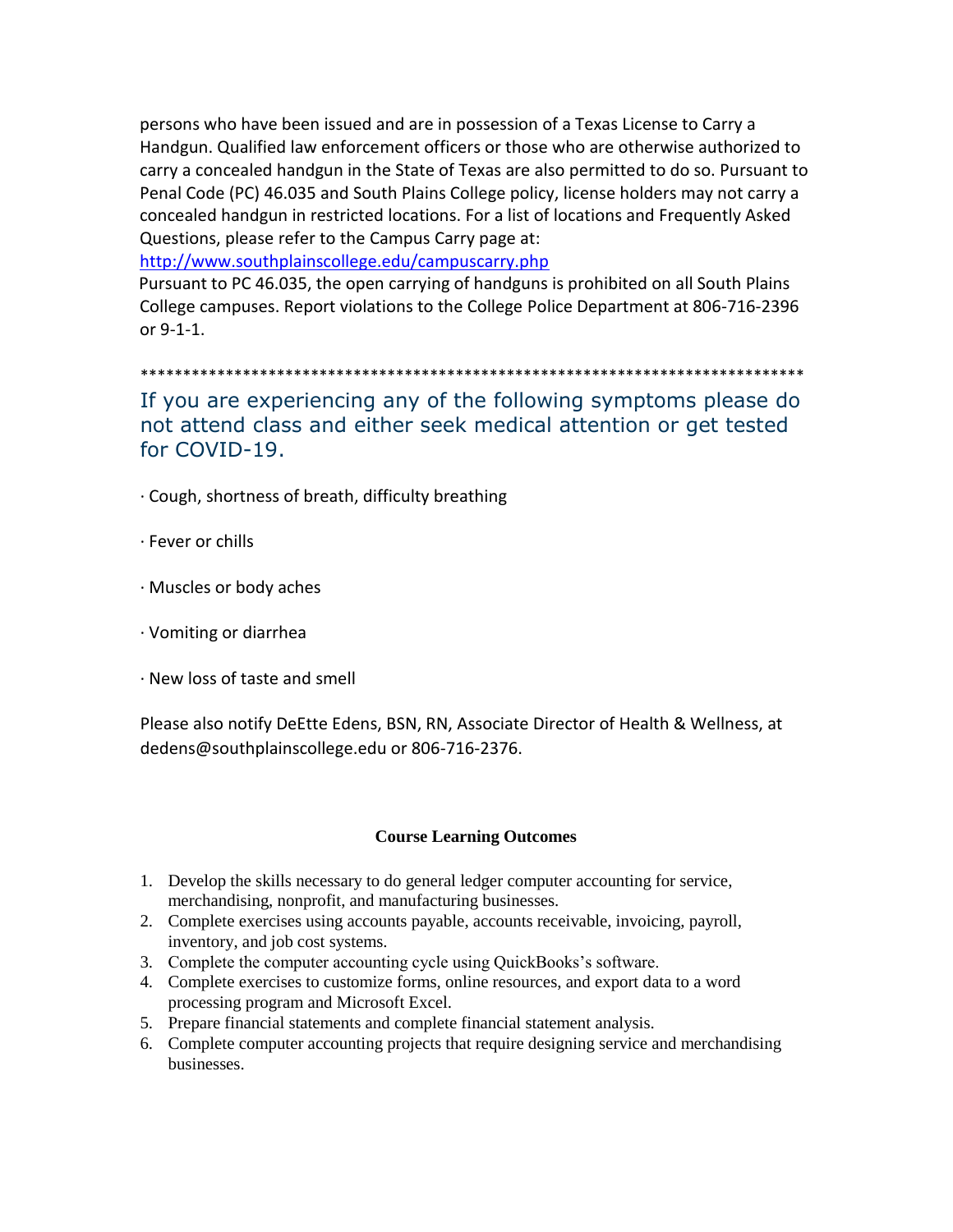persons who have been issued and are in possession of a Texas License to Carry a Handgun. Qualified law enforcement officers or those who are otherwise authorized to carry a concealed handgun in the State of Texas are also permitted to do so. Pursuant to Penal Code (PC) 46.035 and South Plains College policy, license holders may not carry a concealed handgun in restricted locations. For a list of locations and Frequently Asked Questions, please refer to the Campus Carry page at[:](http://www.southplainscollege.edu/campuscarry.php)

<http://www.southplainscollege.edu/campuscarry.php>

Pursuant to PC 46.035, the open carrying of handguns is prohibited on all South Plains College campuses. Report violations to the College Police Department at 806-716-2396 or 9-1-1.

\*\*\*\*\*\*\*\*\*\*\*\*\*\*\*\*\*\*\*\*\*\*\*\*\*\*\*\*\*\*\*\*\*\*\*\*\*\*\*\*\*\*\*\*\*\*\*\*\*\*\*\*\*\*\*\*\*\*\*\*\*\*\*\*\*\*\*\*\*\*\*\*\*\*\*\*\*\*

If you are experiencing any of the following symptoms please do not attend class and either seek medical attention or get tested for COVID-19.

- · Cough, shortness of breath, difficulty breathing
- · Fever or chills
- · Muscles or body aches
- · Vomiting or diarrhea
- · New loss of taste and smell

Please also notify DeEtte Edens, BSN, RN, Associate Director of Health & Wellness, at dedens@southplainscollege.edu or 806-716-2376.

#### **Course Learning Outcomes**

- 1. Develop the skills necessary to do general ledger computer accounting for service, merchandising, nonprofit, and manufacturing businesses.
- 2. Complete exercises using accounts payable, accounts receivable, invoicing, payroll, inventory, and job cost systems.
- 3. Complete the computer accounting cycle using QuickBooks's software.
- 4. Complete exercises to customize forms, online resources, and export data to a word processing program and Microsoft Excel.
- 5. Prepare financial statements and complete financial statement analysis.
- 6. Complete computer accounting projects that require designing service and merchandising businesses.